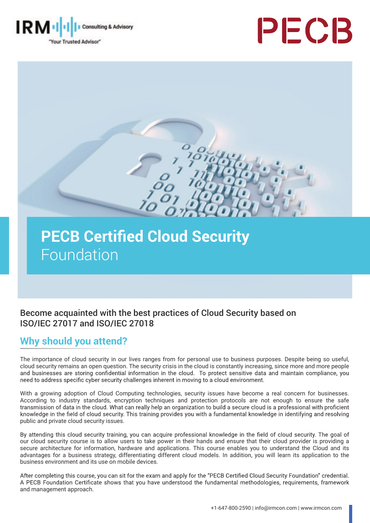





# **PECB Certified Cloud Security** Foundation

### Become acquainted with the best practices of Cloud Security based on ISO/IEC 27017 and ISO/IEC 27018

### **Why should you attend?**

The importance of cloud security in our lives ranges from for personal use to business purposes. Despite being so useful, cloud security remains an open question. The security crisis in the cloud is constantly increasing, since more and more people and businesses are storing confidential information in the cloud. To protect sensitive data and need to address specific cyber security challenges inherent in moving to a cloud environment.

With a growing adoption of Cloud Computing technologies, security issues have become a real concern for businesses. According to industry standards, encryption techniques and protection protocols are not enough to ensure the safe<br>transmission of data in the cloud. What can really help an organization to build a secure cloud is a profess knowledge in the field of cloud security. This training provides you with a fundamental knowledge in identifying and resolving public and private cloud security issues.

By attending this cloud security training, you can acquire professional knowledge in the field of cloud security. The goal of our cloud security course is to allow users to take power in their hands and ensure that their cloud provider is providing a secure architecture for information, hardware and applications. This course enables you to understand the Cloud and its advantages for a business strategy, differentiating different cloud models. In addition, you will learn its application to the business environment and its use on mobile devices.

After completing this course, you can sit for the exam and apply for the "PECB Certified Cloud Security Foundation" credential. A PECB Foundation Certificate shows that you have understood the fundamental methodologies, requirements, framework and management approach.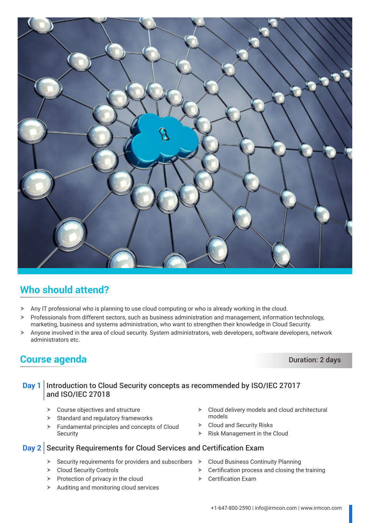

### **Who should attend?**

- $\triangleright$  Any IT professional who is planning to use cloud computing or who is already working in the cloud.
- Professionals from different sectors, such as business administration and management, information technology, marketing, business and systems administration, who want to strengthen their knowledge in Cloud Security.
- $\triangleright$  Anyone involved in the area of cloud security. System administrators, web developers, software developers, network administrators etc.

### **Course agenda** Duration: 2 days

#### **Day 1** Introduction to Cloud Security concepts as recommended by ISO/IEC 27017 and ISO/IEC 27018

- $\triangleright$  Course objectives and structure
- $\triangleright$  Standard and regulatory frameworks
- $\blacktriangleright$  Fundamental principles and concepts of Cloud **Security**
- **Day 2** Security Requirements for Cloud Services and Certification Exam
	- $\triangleright$  Security requirements for providers and subscribers  $\triangleright$
	- $\triangleright$  Cloud Security Controls
	- $\triangleright$  Protection of privacy in the cloud
	- $\blacktriangleright$  Auditing and monitoring cloud services
- Cloud delivery models and cloud architectural models
- $\triangleright$  Cloud and Security Risks
- Risk Management in the Cloud
- **Cloud Business Continuity Planning**
- $\triangleright$  Certification process and closing the training
- $\triangleright$  Certification Exam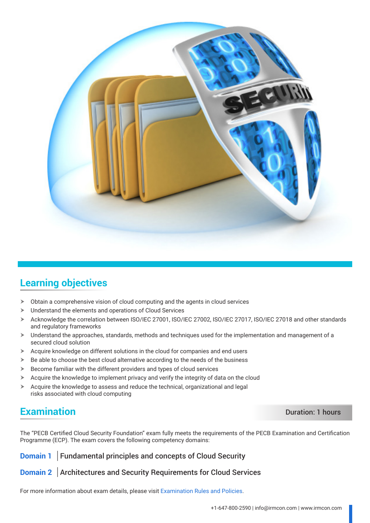

### **Learning objectives**

- Obtain a comprehensive vision of cloud computing and the agents in cloud services
- $\blacktriangleright$  Understand the elements and operations of Cloud Services
- $\triangleright$  Acknowledge the correlation between ISO/IEC 27001, ISO/IEC 27002, ISO/IEC 27017, ISO/IEC 27018 and other standards and regulatory frameworks
- $\triangleright$  Understand the approaches, standards, methods and techniques used for the implementation and management of a secured cloud solution
- $\triangleright$  Acquire knowledge on different solutions in the cloud for companies and end users
- $\triangleright$  Be able to choose the best cloud alternative according to the needs of the business
- $\blacktriangleright$  Become familiar with the different providers and types of cloud services
- $\triangleright$  Acquire the knowledge to implement privacy and verify the integrity of data on the cloud
- $\triangleright$  Acquire the knowledge to assess and reduce the technical, organizational and legal risks associated with cloud computing

### **Examination** Duration: 1 hours

The "PECB Certified Cloud Security Foundation" exam fully meets the requirements of the PECB Examination and Certification Programme (ECP). The exam covers the following competency domains:

**Domain 1** Fundamental principles and concepts of Cloud Security

**Domain 2** Architectures and Security Requirements for Cloud Services

For more information about exam details, please visit [Examination Rules and Policies](https://pecb.com/en/examination-rules-and-policies).